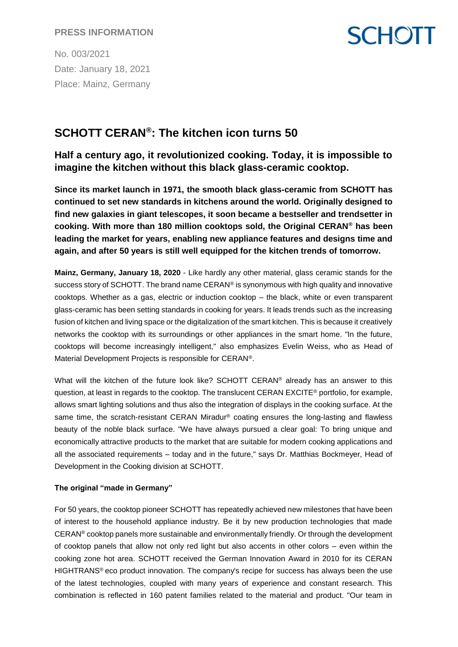No. 003/2021 Date: January 18, 2021 Place: Mainz, Germany

# **SCHOTT CERAN® : The kitchen icon turns 50**

**Half a century ago, it revolutionized cooking. Today, it is impossible to imagine the kitchen without this black glass-ceramic cooktop.**

**SCHOTT** 

**Since its market launch in 1971, the smooth black glass-ceramic from SCHOTT has continued to set new standards in kitchens around the world. Originally designed to find new galaxies in giant telescopes, it soon became a bestseller and trendsetter in cooking. With more than 180 million cooktops sold, the Original CERAN® has been leading the market for years, enabling new appliance features and designs time and again, and after 50 years is still well equipped for the kitchen trends of tomorrow.**

**Mainz, Germany, January 18, 2020** - Like hardly any other material, glass ceramic stands for the success story of SCHOTT. The brand name CERAN® is synonymous with high quality and innovative cooktops. Whether as a gas, electric or induction cooktop – the black, white or even transparent glass-ceramic has been setting standards in cooking for years. It leads trends such as the increasing fusion of kitchen and living space or the digitalization of the smart kitchen. This is because it creatively networks the cooktop with its surroundings or other appliances in the smart home. "In the future, cooktops will become increasingly intelligent," also emphasizes Evelin Weiss, who as Head of Material Development Projects is responsible for CERAN®.

What will the kitchen of the future look like? SCHOTT CERAN® already has an answer to this question, at least in regards to the cooktop. The translucent CERAN EXCITE® portfolio, for example, allows smart lighting solutions and thus also the integration of displays in the cooking surface. At the same time, the scratch-resistant CERAN Miradur® coating ensures the long-lasting and flawless beauty of the noble black surface. "We have always pursued a clear goal: To bring unique and economically attractive products to the market that are suitable for modern cooking applications and all the associated requirements – today and in the future," says Dr. Matthias Bockmeyer, Head of Development in the Cooking division at SCHOTT.

#### **The original "made in Germany"**

For 50 years, the cooktop pioneer SCHOTT has repeatedly achieved new milestones that have been of interest to the household appliance industry. Be it by new production technologies that made CERAN® cooktop panels more sustainable and environmentally friendly. Or through the development of cooktop panels that allow not only red light but also accents in other colors – even within the cooking zone hot area. SCHOTT received the German Innovation Award in 2010 for its CERAN HIGHTRANS® eco product innovation. The company's recipe for success has always been the use of the latest technologies, coupled with many years of experience and constant research. This combination is reflected in 160 patent families related to the material and product. "Our team in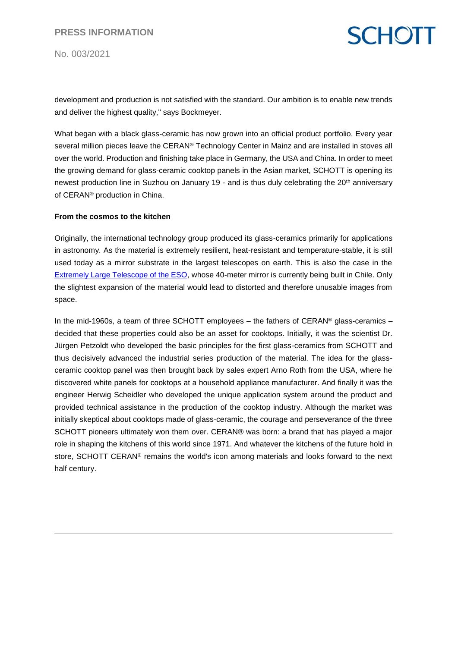No. 003/2021



development and production is not satisfied with the standard. Our ambition is to enable new trends and deliver the highest quality," says Bockmeyer.

What began with a black glass-ceramic has now grown into an official product portfolio. Every year several million pieces leave the CERAN® Technology Center in Mainz and are installed in stoves all over the world. Production and finishing take place in Germany, the USA and China. In order to meet the growing demand for glass-ceramic cooktop panels in the Asian market, SCHOTT is opening its newest production line in Suzhou on January 19 - and is thus duly celebrating the 20<sup>th</sup> anniversary of CERAN® production in China.

#### **From the cosmos to the kitchen**

Originally, the international technology group produced its glass-ceramics primarily for applications in astronomy. As the material is extremely resilient, heat-resistant and temperature-stable, it is still used today as a mirror substrate in the largest telescopes on earth. This is also the case in the [Extremely Large Telescope of the ESO,](https://www.schott.com/innovation/en/elt/) whose 40-meter mirror is currently being built in Chile. Only the slightest expansion of the material would lead to distorted and therefore unusable images from space.

In the mid-1960s, a team of three SCHOTT employees – the fathers of CERAN<sup>®</sup> glass-ceramics – decided that these properties could also be an asset for cooktops. Initially, it was the scientist Dr. Jürgen Petzoldt who developed the basic principles for the first glass-ceramics from SCHOTT and thus decisively advanced the industrial series production of the material. The idea for the glassceramic cooktop panel was then brought back by sales expert Arno Roth from the USA, where he discovered white panels for cooktops at a household appliance manufacturer. And finally it was the engineer Herwig Scheidler who developed the unique application system around the product and provided technical assistance in the production of the cooktop industry. Although the market was initially skeptical about cooktops made of glass-ceramic, the courage and perseverance of the three SCHOTT pioneers ultimately won them over. CERAN® was born: a brand that has played a major role in shaping the kitchens of this world since 1971. And whatever the kitchens of the future hold in store, SCHOTT CERAN<sup>®</sup> remains the world's icon among materials and looks forward to the next half century.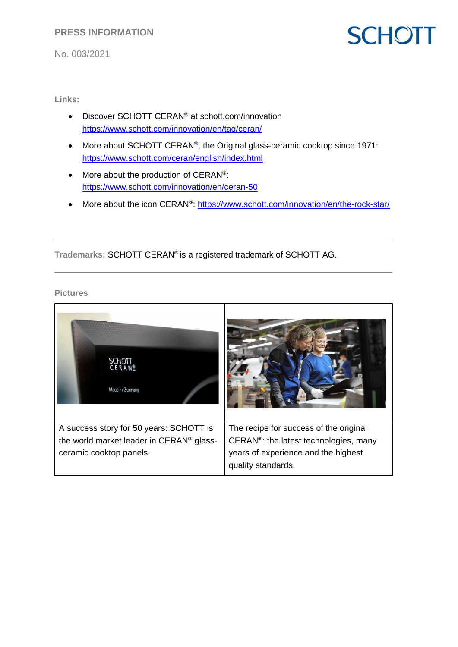No. 003/2021

# **SCHOTT**

**Links:** 

- Discover SCHOTT CERAN<sup>®</sup> at schott.com/innovation <https://www.schott.com/innovation/en/tag/ceran/>
- More about SCHOTT CERAN<sup>®</sup>, the Original glass-ceramic cooktop since 1971: <https://www.schott.com/ceran/english/index.html>
- More about the production of CERAN<sup>®</sup>: <https://www.schott.com/innovation/en/ceran-50>
- More about the icon CERAN<sup>®</sup>: https://www.schott.com/innovation/en/the-rock-star/

**Trademarks:** SCHOTT CERAN® is a registered trademark of SCHOTT AG.

**Pictures**